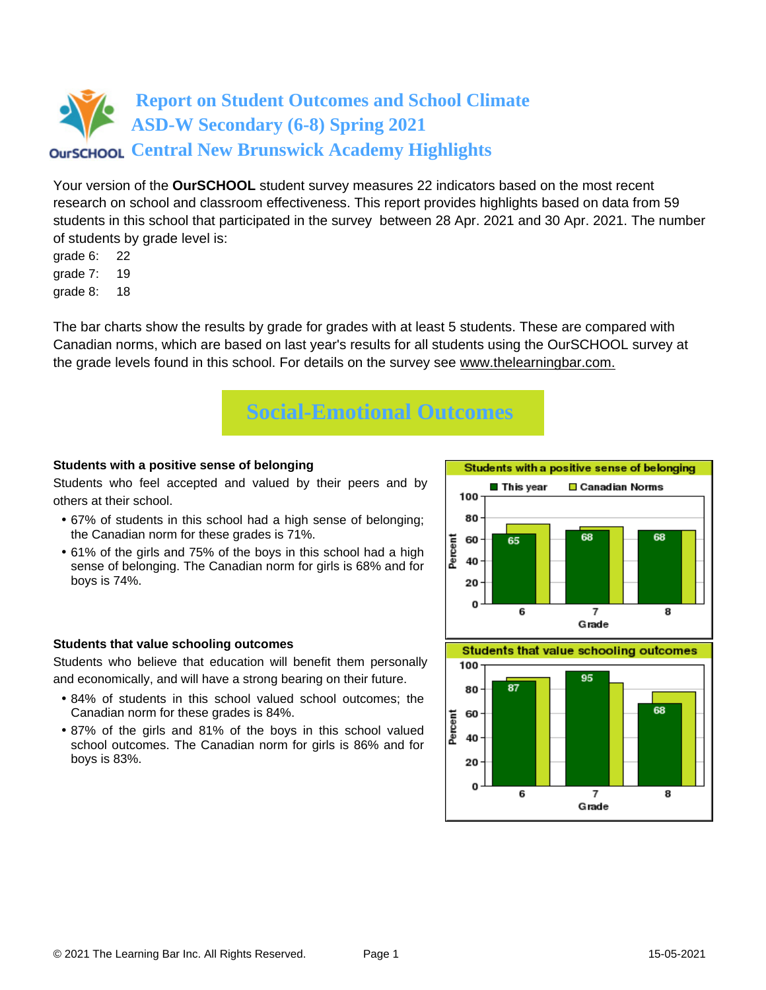Your version of the **OurSCHOOL** student survey measures 22 indicators based on the most recent research on school and classroom effectiveness. This report provides highlights based on data from 59 students in this school that participated in the survey between 28 Apr. 2021 and 30 Apr. 2021. The number of students by grade level is:

- grade 6: 22
- grade 7: 19
- grade 8: 18

The bar charts show the results by grade for grades with at least 5 students. These are compared with Canadian norms, which are based on last year's results for all students using the OurSCHOOL survey at the grade levels found in this school. For details on the survey see [www.thelearningbar.com.](www.thelearningbar.com)



#### **Students with a positive sense of belonging**

Students who feel accepted and valued by their peers and by others at their school.

- 67% of students in this school had a high sense of belonging; the Canadian norm for these grades is 71%.
- 61% of the girls and 75% of the boys in this school had a high sense of belonging. The Canadian norm for girls is 68% and for boys is 74%.



#### **Students that value schooling outcomes**

Students who believe that education will benefit them personally and economically, and will have a strong bearing on their future.

- 84% of students in this school valued school outcomes; the Canadian norm for these grades is 84%.
- 87% of the girls and 81% of the boys in this school valued school outcomes. The Canadian norm for girls is 86% and for boys is 83%.

**Students that value schooling outcomes** 

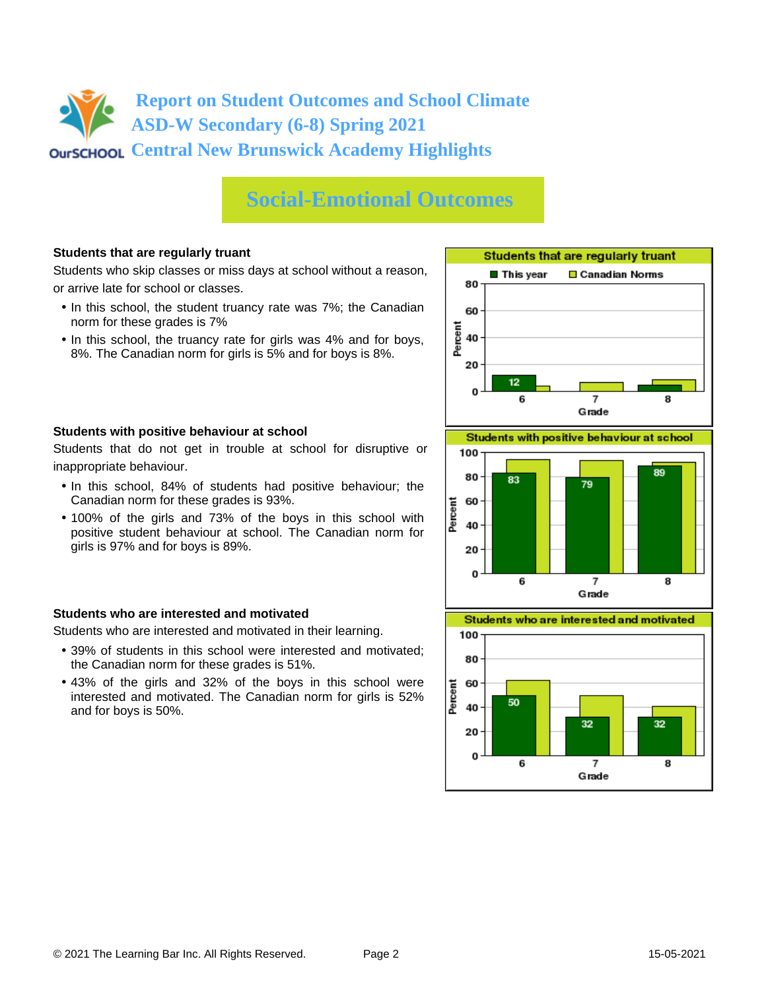# **Social-Emotional Outcomes**

#### **Students that are regularly truant**

Students who skip classes or miss days at school without a reason, or arrive late for school or classes.

- In this school, the student truancy rate was 7%; the Canadian norm for these grades is 7%
- In this school, the truancy rate for girls was 4% and for boys, 8%. The Canadian norm for girls is 5% and for boys is 8%.





Students that do not get in trouble at school for disruptive or inappropriate behaviour.

- In this school, 84% of students had positive behaviour; the Canadian norm for these grades is 93%.
- 100% of the girls and 73% of the boys in this school with positive student behaviour at school. The Canadian norm for girls is 97% and for boys is 89%.

#### **Students who are interested and motivated**

Students who are interested and motivated in their learning.

- 39% of students in this school were interested and motivated; the Canadian norm for these grades is 51%.
- 43% of the girls and 32% of the boys in this school were interested and motivated. The Canadian norm for girls is 52% and for boys is 50%.



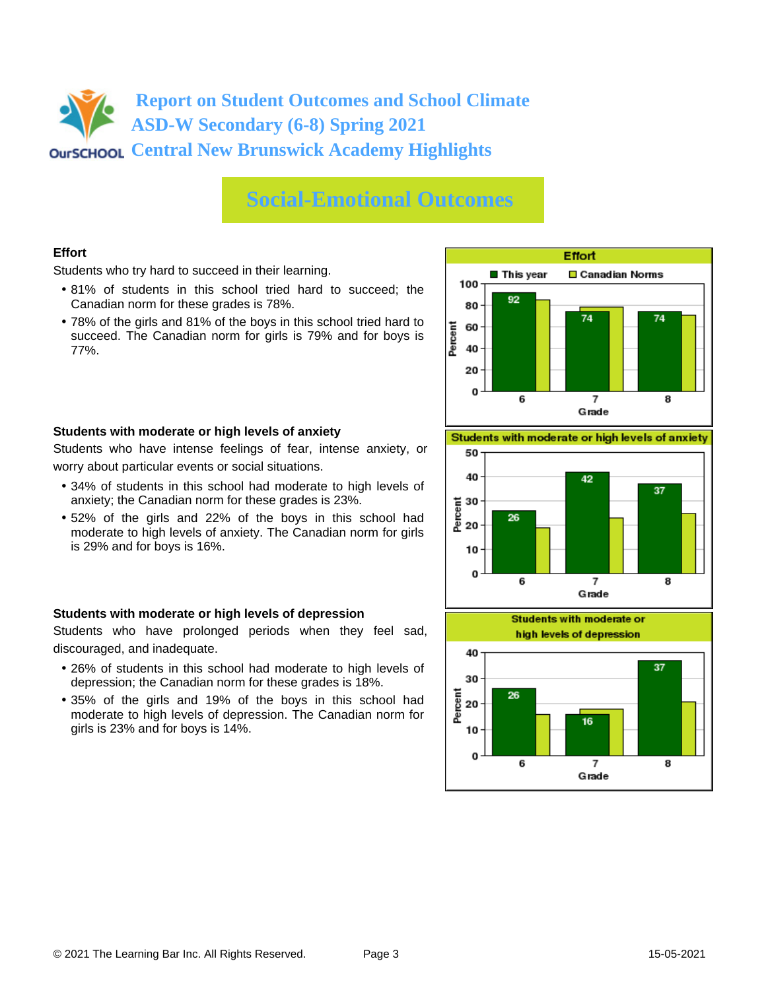### **Social-Emotional Outcomes**

#### **Effort**

Students who try hard to succeed in their learning.

- 81% of students in this school tried hard to succeed; the Canadian norm for these grades is 78%.
- 78% of the girls and 81% of the boys in this school tried hard to succeed. The Canadian norm for girls is 79% and for boys is 77%.



#### **Students with moderate or high levels of anxiety**

Students who have intense feelings of fear, intense anxiety, or worry about particular events or social situations.

- 34% of students in this school had moderate to high levels of anxiety; the Canadian norm for these grades is 23%.
- 52% of the girls and 22% of the boys in this school had moderate to high levels of anxiety. The Canadian norm for girls is 29% and for boys is 16%.

#### **Students with moderate or high levels of depression**

Students who have prolonged periods when they feel sad, discouraged, and inadequate.

- 26% of students in this school had moderate to high levels of depression; the Canadian norm for these grades is 18%.
- 35% of the girls and 19% of the boys in this school had moderate to high levels of depression. The Canadian norm for girls is 23% and for boys is 14%.

Students with moderate or high levels of anxiety



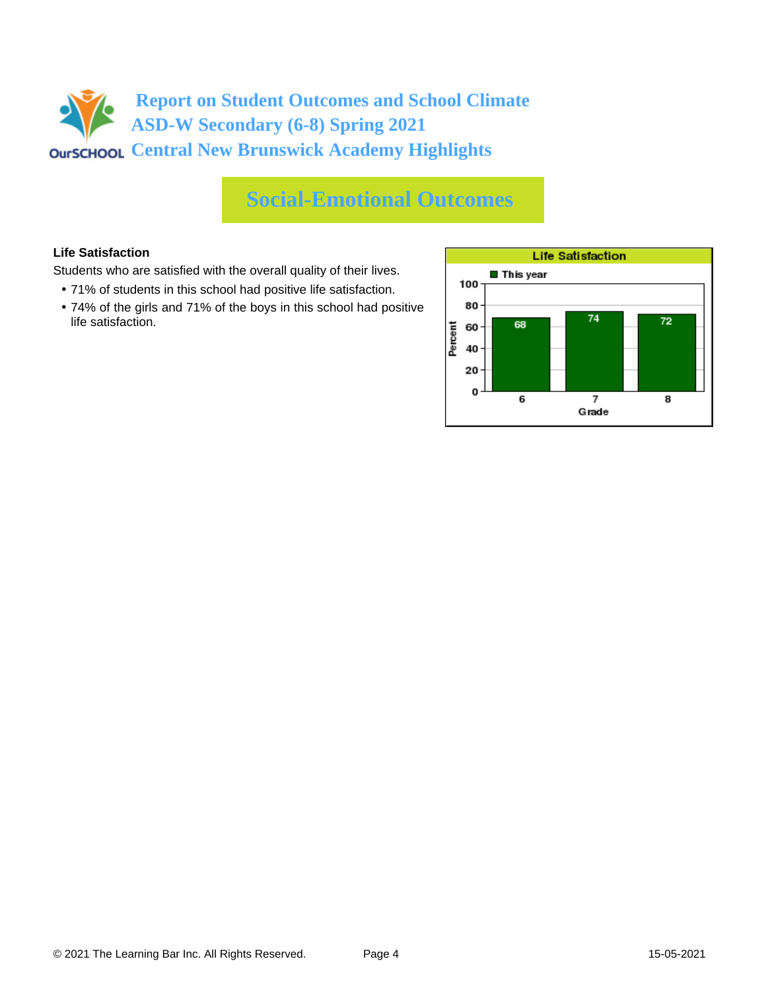# **Social-Emotional Outcomes**

#### **Life Satisfaction**

Students who are satisfied with the overall quality of their lives.

- 71% of students in this school had positive life satisfaction.
- 74% of the girls and 71% of the boys in this school had positive life satisfaction.

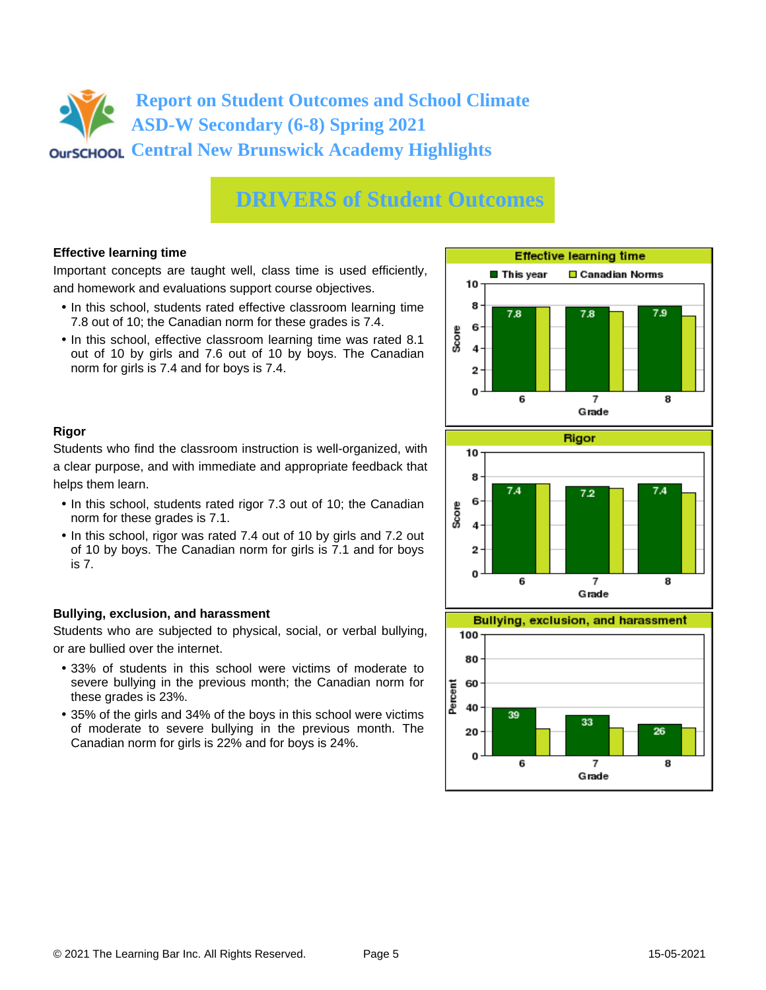# **DRIVERS of Student Outcomes**

#### **Effective learning time**

Important concepts are taught well, class time is used efficiently, and homework and evaluations support course objectives.

- In this school, students rated effective classroom learning time 7.8 out of 10; the Canadian norm for these grades is 7.4.
- In this school, effective classroom learning time was rated 8.1 out of 10 by girls and 7.6 out of 10 by boys. The Canadian norm for girls is 7.4 and for boys is 7.4.



#### **Rigor**

Students who find the classroom instruction is well-organized, with a clear purpose, and with immediate and appropriate feedback that helps them learn.

- In this school, students rated rigor 7.3 out of 10; the Canadian norm for these grades is 7.1.
- In this school, rigor was rated 7.4 out of 10 by girls and 7.2 out of 10 by boys. The Canadian norm for girls is 7.1 and for boys is 7.

#### **Bullying, exclusion, and harassment**

Students who are subjected to physical, social, or verbal bullying, or are bullied over the internet.

- 33% of students in this school were victims of moderate to severe bullying in the previous month; the Canadian norm for these grades is 23%.
- 35% of the girls and 34% of the boys in this school were victims of moderate to severe bullying in the previous month. The Canadian norm for girls is 22% and for boys is 24%.



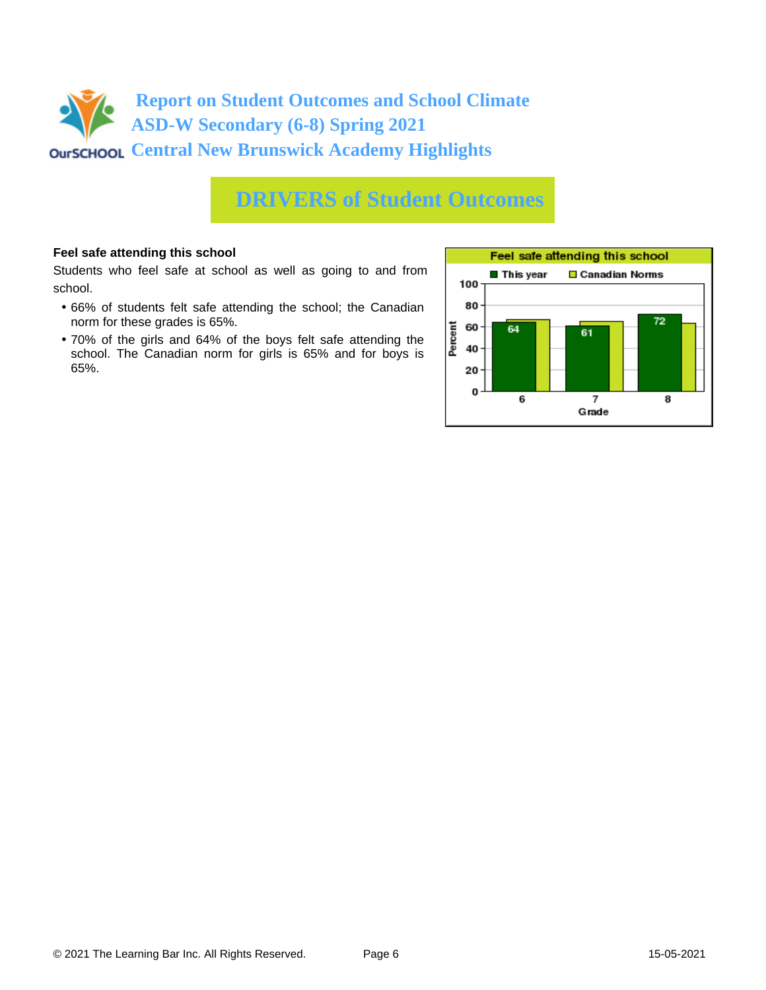

### **DRIVERS of Student Outcomes**

#### **Feel safe attending this school**

Students who feel safe at school as well as going to and from school.

- 66% of students felt safe attending the school; the Canadian norm for these grades is 65%.
- 70% of the girls and 64% of the boys felt safe attending the school. The Canadian norm for girls is 65% and for boys is 65%.

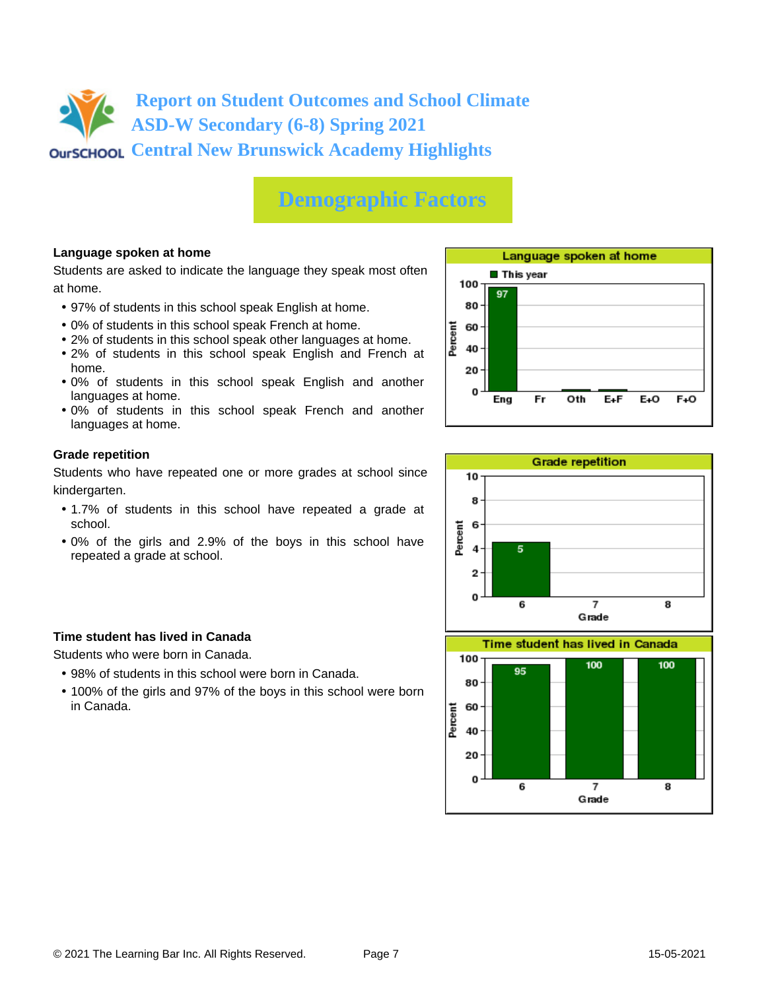# **Demographic Factors**

#### **Language spoken at home**

Students are asked to indicate the language they speak most often at home.

- 97% of students in this school speak English at home.
- 0% of students in this school speak French at home.
- 2% of students in this school speak other languages at home.
- 2% of students in this school speak English and French at home.
- 0% of students in this school speak English and another languages at home.
- 0% of students in this school speak French and another languages at home.

#### **Grade repetition**

Students who have repeated one or more grades at school since kindergarten.

- 1.7% of students in this school have repeated a grade at school.
- 0% of the girls and 2.9% of the boys in this school have repeated a grade at school.

#### **Time student has lived in Canada**

Students who were born in Canada.

- 98% of students in this school were born in Canada.
- 100% of the girls and 97% of the boys in this school were born in Canada.





Grade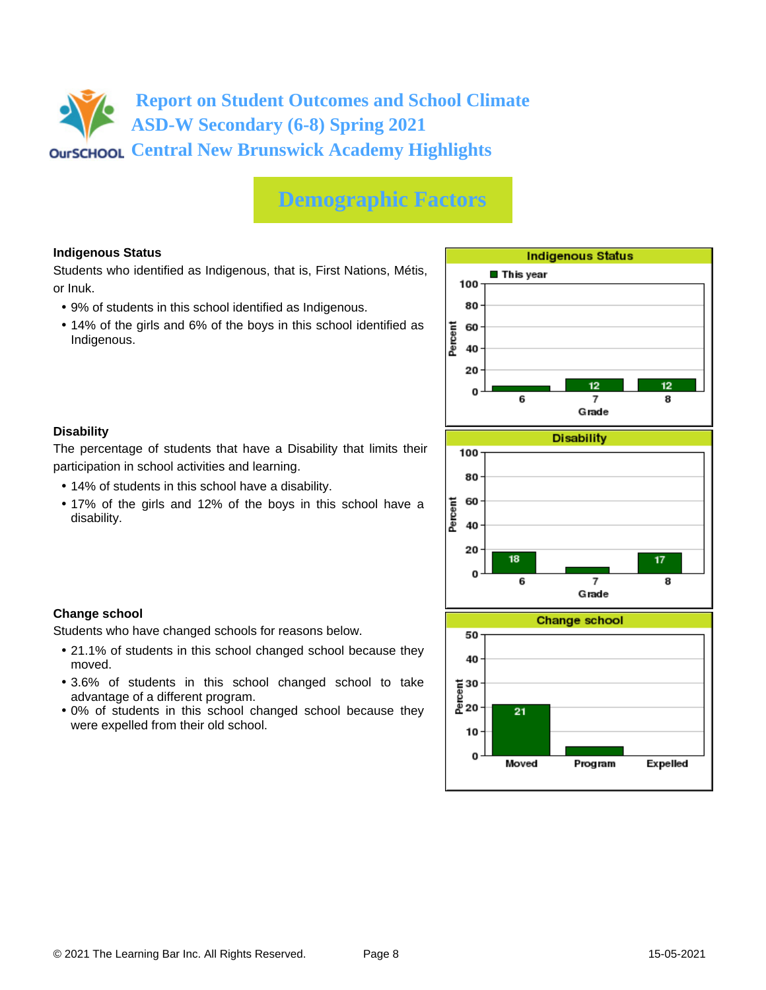# **Demographic Factors**

#### **Indigenous Status**

Students who identified as Indigenous, that is, First Nations, Métis, or Inuk.

- 9% of students in this school identified as Indigenous.
- 14% of the girls and 6% of the boys in this school identified as Indigenous.



#### **Disability**

**Change school**

moved.

The percentage of students that have a Disability that limits their participation in school activities and learning.

• 14% of students in this school have a disability.

Students who have changed schools for reasons below.

advantage of a different program.

were expelled from their old school.

• 17% of the girls and 12% of the boys in this school have a disability.

• 21.1% of students in this school changed school because they

• 3.6% of students in this school changed school to take

• 0% of students in this school changed school because they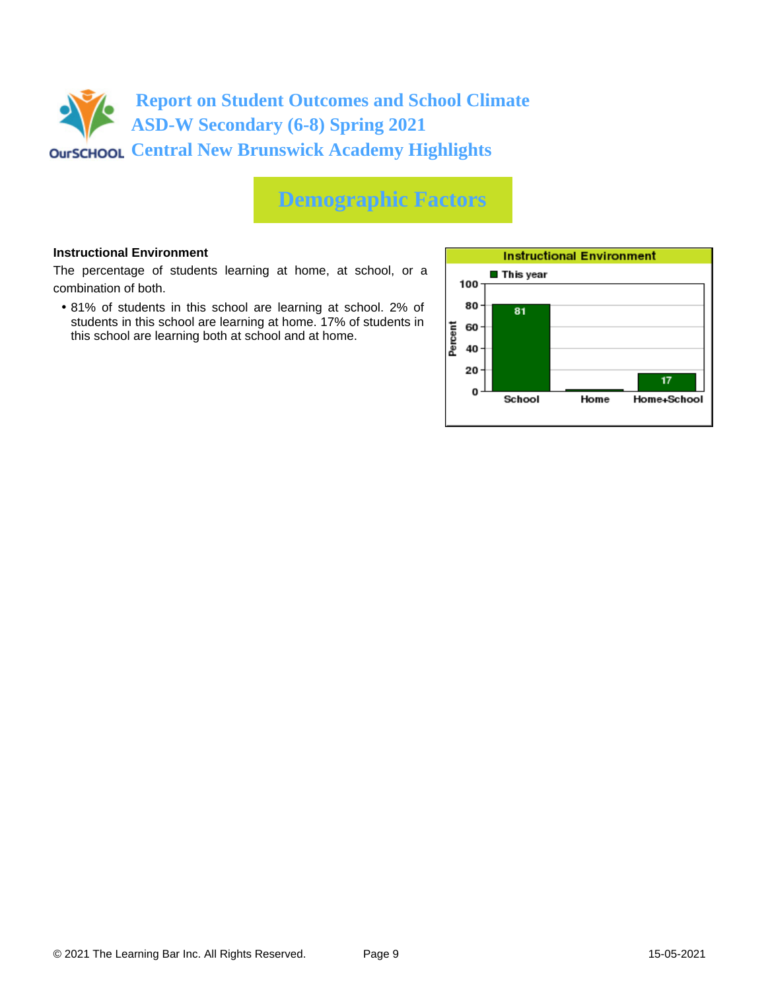

# **Demographic Factors**

#### **Instructional Environment**

The percentage of students learning at home, at school, or a combination of both.

• 81% of students in this school are learning at school. 2% of students in this school are learning at home. 17% of students in this school are learning both at school and at home.

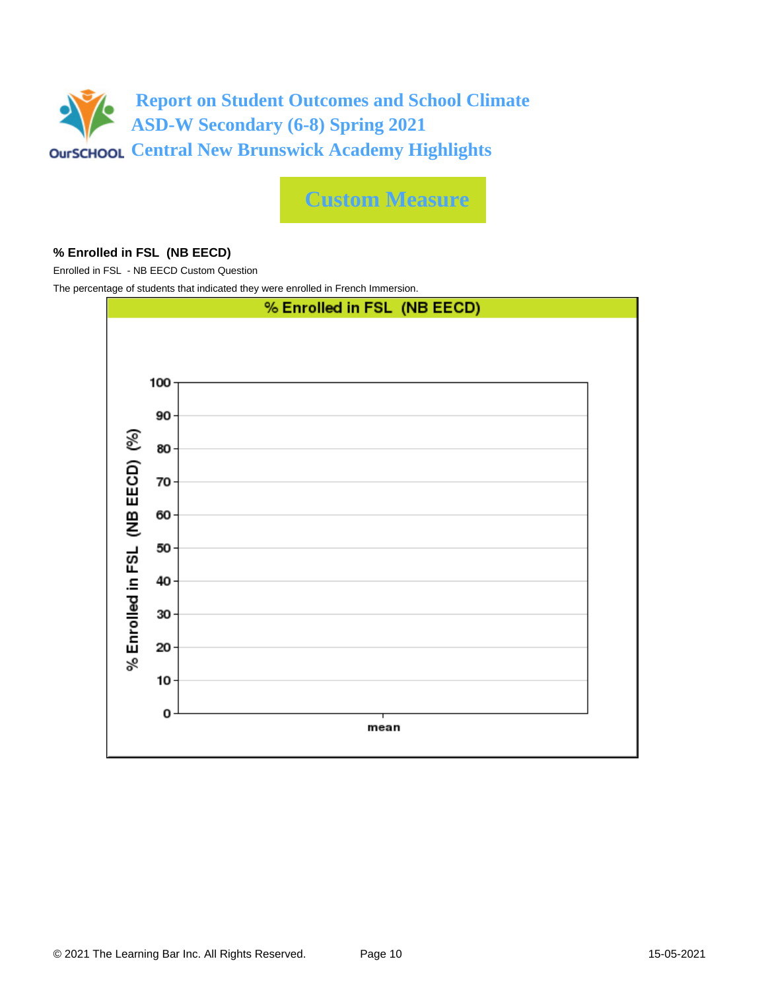

**Custom Measure**

#### **% Enrolled in FSL (NB EECD)**

Enrolled in FSL - NB EECD Custom Question

The percentage of students that indicated they were enrolled in French Immersion.

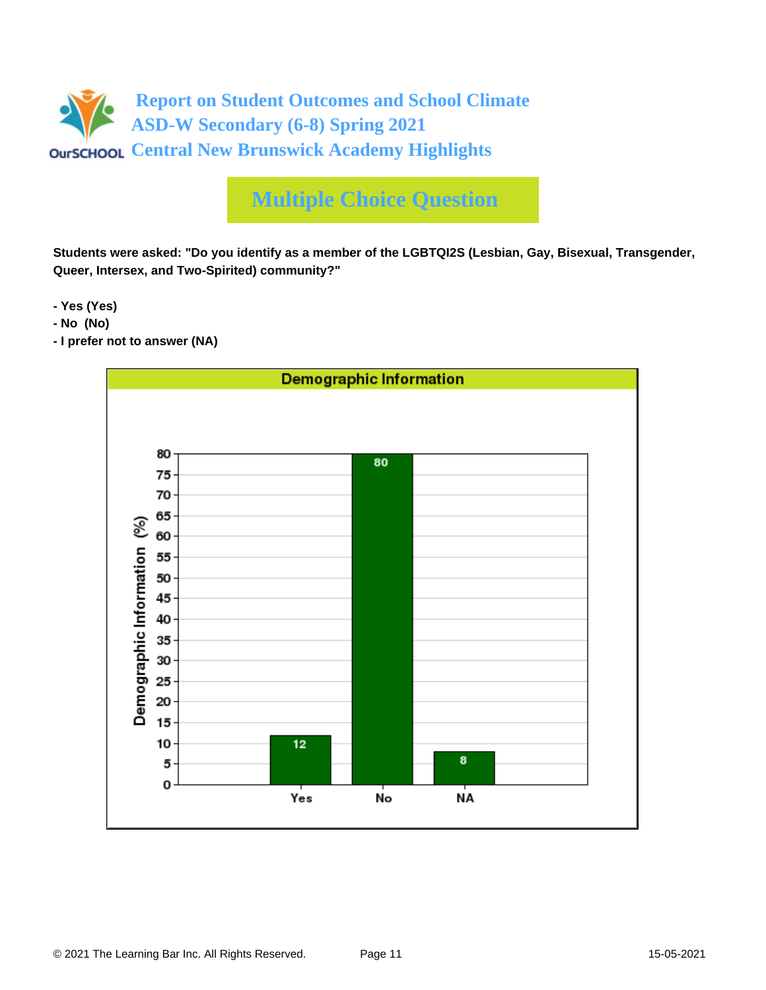

**Students were asked: "Do you identify as a member of the LGBTQI2S (Lesbian, Gay, Bisexual, Transgender, Queer, Intersex, and Two-Spirited) community?"**

**- Yes (Yes)**

- **No (No)**
- **I prefer not to answer (NA)**

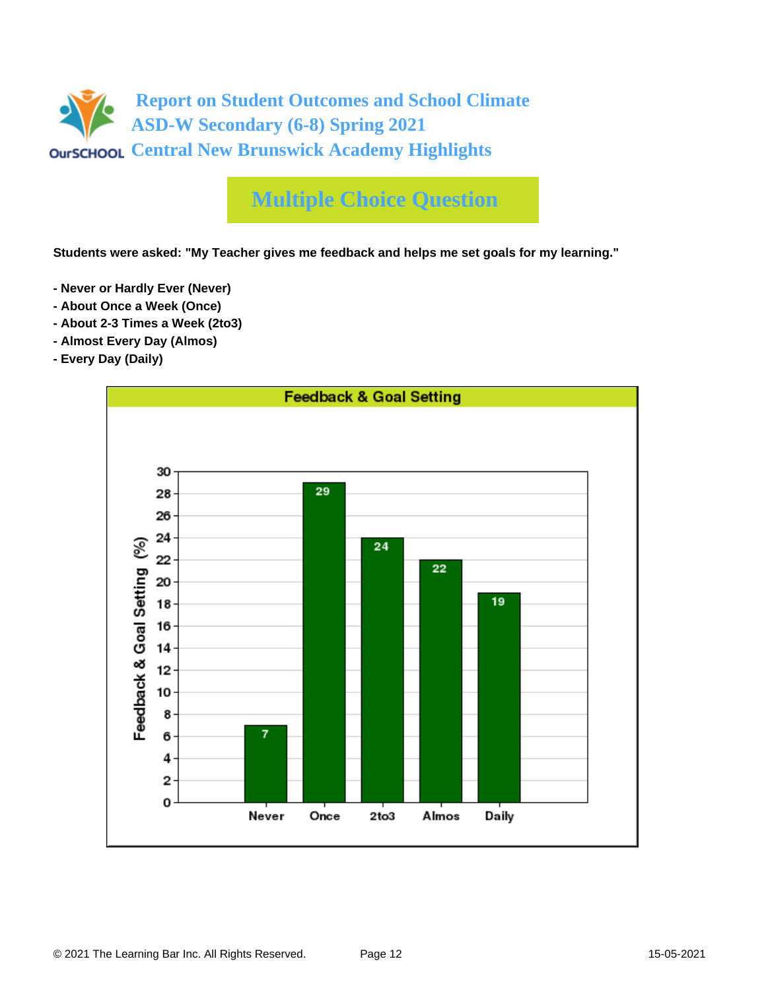

**Students were asked: "My Teacher gives me feedback and helps me set goals for my learning."**

- **Never or Hardly Ever (Never)**
- **About Once a Week (Once)**
- **About 2-3 Times a Week (2to3)**
- **Almost Every Day (Almos)**
- **Every Day (Daily)**

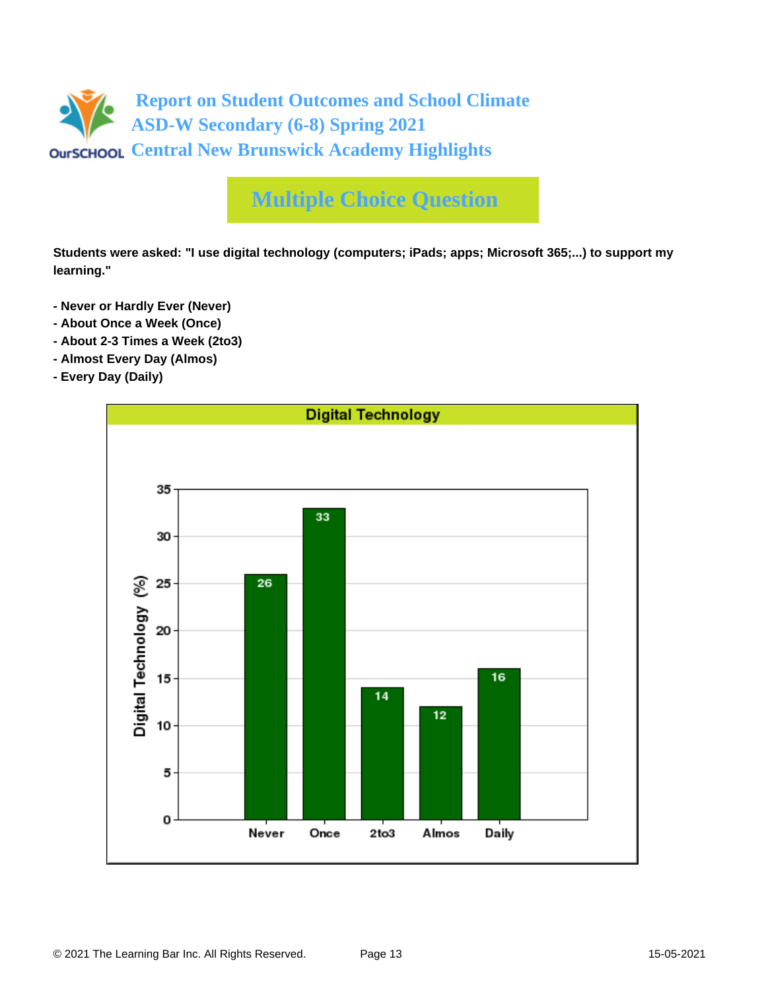

**Students were asked: "I use digital technology (computers; iPads; apps; Microsoft 365;...) to support my learning."**

- **Never or Hardly Ever (Never)**
- **About Once a Week (Once)**
- **About 2-3 Times a Week (2to3)**
- **Almost Every Day (Almos)**
- **Every Day (Daily)**

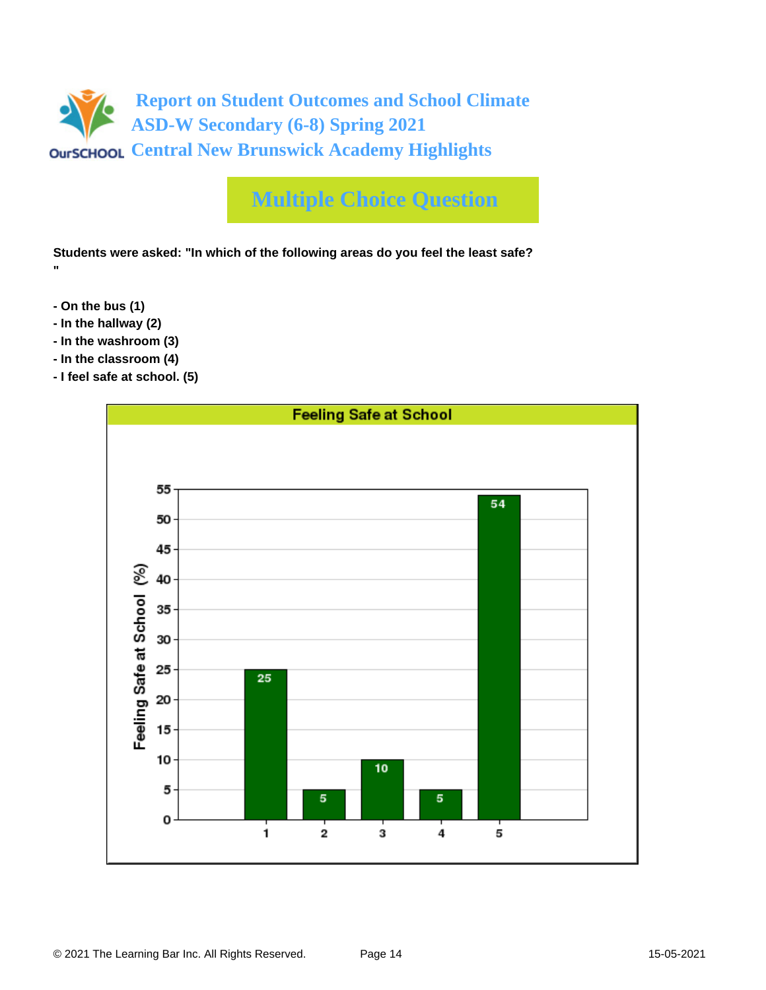

**Students were asked: "In which of the following areas do you feel the least safe? "**

- **On the bus (1)**
- **In the hallway (2)**
- **In the washroom (3)**
- **In the classroom (4)**
- **I feel safe at school. (5)**